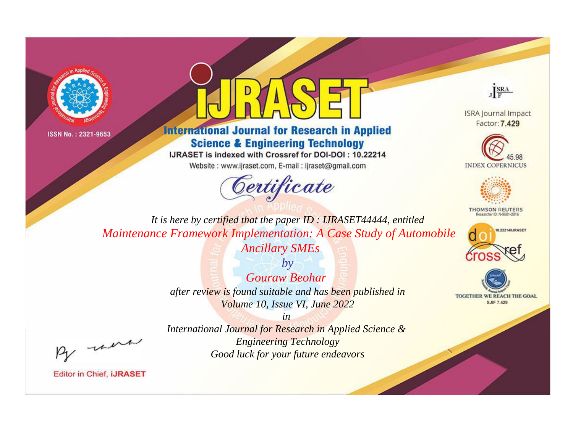



**International Journal for Research in Applied Science & Engineering Technology** 

IJRASET is indexed with Crossref for DOI-DOI: 10.22214

Website: www.ijraset.com, E-mail: ijraset@gmail.com



JERA

**ISRA Journal Impact** Factor: 7.429





**THOMSON REUTERS** 



TOGETHER WE REACH THE GOAL **SJIF 7.429** 

It is here by certified that the paper ID : IJRASET44444, entitled Maintenance Framework Implementation: A Case Study of Automobile **Ancillary SMEs** 

> $b\nu$ Gouraw Beohar after review is found suitable and has been published in Volume 10, Issue VI, June 2022

were

International Journal for Research in Applied Science & **Engineering Technology** Good luck for your future endeavors

 $in$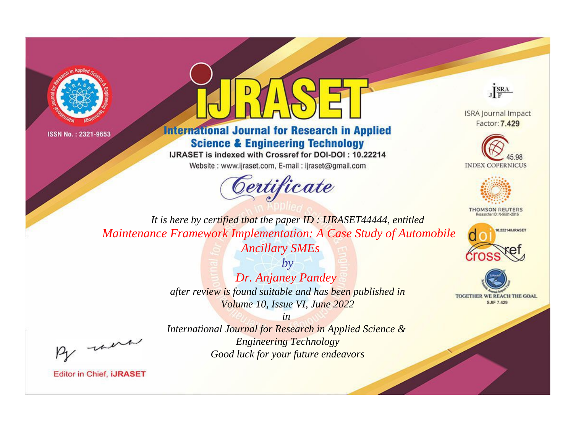



**International Journal for Research in Applied Science & Engineering Technology** 

IJRASET is indexed with Crossref for DOI-DOI: 10.22214

Website: www.ijraset.com, E-mail: ijraset@gmail.com





**ISRA Journal Impact** Factor: 7.429





**THOMSON REUTERS** 



TOGETHER WE REACH THE GOAL **SJIF 7.429** 

*It is here by certified that the paper ID : IJRASET44444, entitled Maintenance Framework Implementation: A Case Study of Automobile Ancillary SMEs*

> *by Dr. Anjaney Pandey after review is found suitable and has been published in Volume 10, Issue VI, June 2022*

, un

*International Journal for Research in Applied Science & Engineering Technology Good luck for your future endeavors*

*in*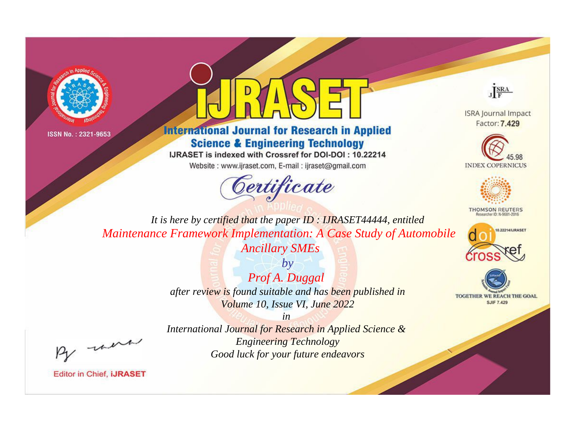



**International Journal for Research in Applied Science & Engineering Technology** 

IJRASET is indexed with Crossref for DOI-DOI: 10.22214

Website: www.ijraset.com, E-mail: ijraset@gmail.com



JERA

**ISRA Journal Impact** Factor: 7.429





**THOMSON REUTERS** 



TOGETHER WE REACH THE GOAL **SJIF 7.429** 

It is here by certified that the paper ID: IJRASET44444, entitled Maintenance Framework Implementation: A Case Study of Automobile **Ancillary SMEs** 

> $by$ Prof A. Duggal after review is found suitable and has been published in Volume 10, Issue VI, June 2022

were

International Journal for Research in Applied Science & **Engineering Technology** Good luck for your future endeavors

 $in$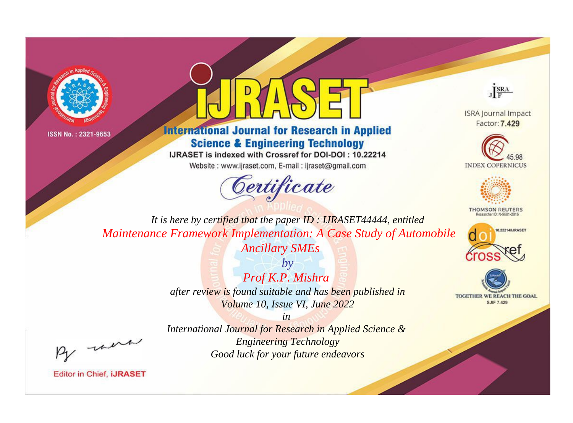



**International Journal for Research in Applied Science & Engineering Technology** 

IJRASET is indexed with Crossref for DOI-DOI: 10.22214

Website: www.ijraset.com, E-mail: ijraset@gmail.com



JERA

**ISRA Journal Impact** Factor: 7.429





**THOMSON REUTERS** 



TOGETHER WE REACH THE GOAL **SJIF 7.429** 

It is here by certified that the paper ID : IJRASET44444, entitled Maintenance Framework Implementation: A Case Study of Automobile **Ancillary SMEs** 

> $by$ Prof K.P. Mishra after review is found suitable and has been published in Volume 10, Issue VI, June 2022

> > $in$

International Journal for Research in Applied Science & **Engineering Technology** Good luck for your future endeavors

were